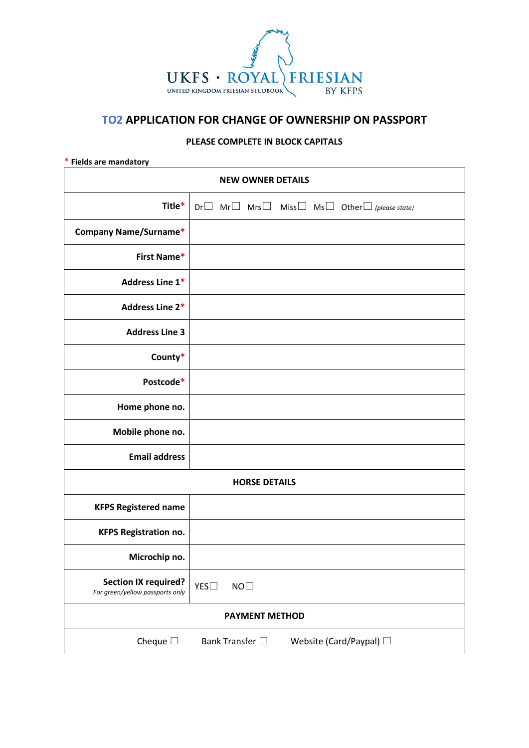

# **TO2 APPLICATION FOR CHANGE OF OWNERSHIP ON PASSPORT**

# **PLEASE COMPLETE IN BLOCK CAPITALS**

#### \* **Fields are mandatory**

| <b>NEW OWNER DETAILS</b>                                       |                                                                                  |
|----------------------------------------------------------------|----------------------------------------------------------------------------------|
| Title*                                                         | $Dr \Box$ Mr $\Box$ Mrs $\Box$ Miss $\Box$ Ms $\Box$ Other $\Box$ (please state) |
| <b>Company Name/Surname*</b>                                   |                                                                                  |
| First Name*                                                    |                                                                                  |
| Address Line 1*                                                |                                                                                  |
| <b>Address Line 2*</b>                                         |                                                                                  |
| <b>Address Line 3</b>                                          |                                                                                  |
| County*                                                        |                                                                                  |
| Postcode*                                                      |                                                                                  |
| Home phone no.                                                 |                                                                                  |
| Mobile phone no.                                               |                                                                                  |
| <b>Email address</b>                                           |                                                                                  |
| <b>HORSE DETAILS</b>                                           |                                                                                  |
| <b>KFPS Registered name</b>                                    |                                                                                  |
| <b>KFPS Registration no.</b>                                   |                                                                                  |
| Microchip no.                                                  |                                                                                  |
| <b>Section IX required?</b><br>For green/yellow passports only | NO <sub>1</sub><br>YES                                                           |
| <b>PAYMENT METHOD</b>                                          |                                                                                  |
| Cheque $\square$                                               | Website (Card/Paypal) □<br>Bank Transfer $\Box$                                  |